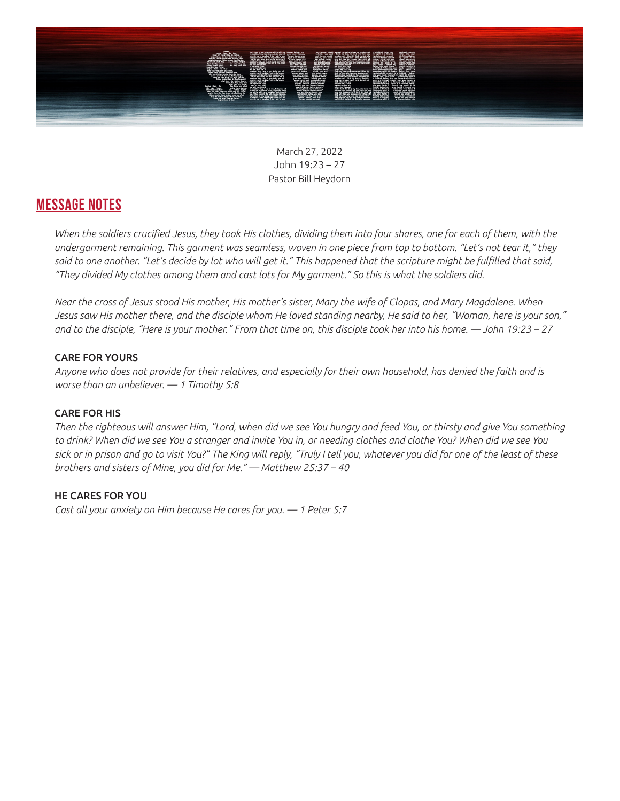

March 27, 2022 John 19:23 – 27 Pastor Bill Heydorn

## **MESSAGE NOTES**

*When the soldiers crucified Jesus, they took His clothes, dividing them into four shares, one for each of them, with the undergarment remaining. This garment was seamless, woven in one piece from top to bottom. "Let's not tear it," they said to one another. "Let's decide by lot who will get it." This happened that the scripture might be fulfilled that said, "They divided My clothes among them and cast lots for My garment." So this is what the soldiers did.* 

*Near the cross of Jesus stood His mother, His mother's sister, Mary the wife of Clopas, and Mary Magdalene. When Jesus saw His mother there, and the disciple whom He loved standing nearby, He said to her, "Woman, here is your son," and to the disciple, "Here is your mother." From that time on, this disciple took her into his home. — John 19:23 – 27*

### CARE FOR YOURS

*Anyone who does not provide for their relatives, and especially for their own household, has denied the faith and is worse than an unbeliever. — 1 Timothy 5:8*

### CARE FOR HIS

*Then the righteous will answer Him, "Lord, when did we see You hungry and feed You, or thirsty and give You something to drink? When did we see You a stranger and invite You in, or needing clothes and clothe You? When did we see You sick or in prison and go to visit You?" The King will reply, "Truly I tell you, whatever you did for one of the least of these brothers and sisters of Mine, you did for Me." — Matthew 25:37 – 40*

#### HE CARES FOR YOU

*Cast all your anxiety on Him because He cares for you. — 1 Peter 5:7*